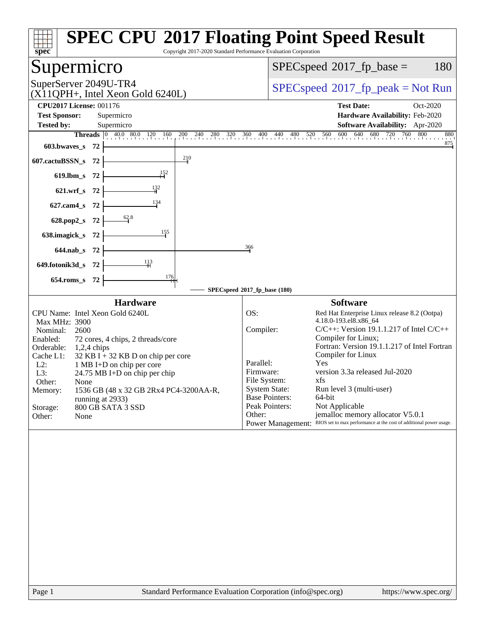| Copyright 2017-2020 Standard Performance Evaluation Corporation<br>spec                                                | <b>SPEC CPU®2017 Floating Point Speed Result</b>                                               |
|------------------------------------------------------------------------------------------------------------------------|------------------------------------------------------------------------------------------------|
| Supermicro                                                                                                             | $SPEC speed^{\circ}2017\_fp\_base =$<br>180                                                    |
| SuperServer 2049U-TR4<br>$(X11QPH+$ , Intel Xeon Gold 6240L)                                                           | $SPEC speed^{\circ}2017\_fp\_peak = Not Run$                                                   |
| <b>CPU2017 License: 001176</b><br><b>Test Sponsor:</b><br>Supermicro                                                   | <b>Test Date:</b><br>Oct-2020<br>Hardware Availability: Feb-2020                               |
| <b>Tested by:</b><br>Supermicro                                                                                        | <b>Software Availability:</b> Apr-2020                                                         |
| <b>Threads</b> $\begin{bmatrix} 0 & 40.0 & 80.0 & 120 \\ 1 & 0 & 160 \end{bmatrix}$<br>200<br>$^{240}$ .<br>280<br>320 | 600<br>640<br>680 720 760 800<br>880<br>360<br>520 560<br>$^{400}$ .<br>440<br>480             |
| 603.bwaves_s<br>- 72                                                                                                   | 875                                                                                            |
| 210<br>607.cactuBSSN_s 72                                                                                              |                                                                                                |
| $619.$ lbm_s<br>- 72                                                                                                   |                                                                                                |
| $\frac{132}{4}$<br>$621.wrf$ <sub>S</sub><br>- 72                                                                      |                                                                                                |
| 134<br>$627$ .cam $4$ <sub>_S</sub><br>- 72                                                                            |                                                                                                |
| 628.pop2_s<br>72                                                                                                       |                                                                                                |
| $\frac{155}{2}$<br>638. imagick s<br>-72                                                                               |                                                                                                |
| 644.nab_s 72                                                                                                           | 366                                                                                            |
| 649.fotonik3d_s 72                                                                                                     |                                                                                                |
| 176<br>654.roms_s 72                                                                                                   |                                                                                                |
|                                                                                                                        | SPECspeed®2017_fp_base (180)                                                                   |
| <b>Hardware</b>                                                                                                        | <b>Software</b>                                                                                |
| CPU Name: Intel Xeon Gold 6240L<br>Max MHz: 3900                                                                       | OS:<br>Red Hat Enterprise Linux release 8.2 (Ootpa)<br>4.18.0-193.el8.x86_64                   |
| Nominal:<br>2600                                                                                                       | $C/C++$ : Version 19.1.1.217 of Intel $C/C++$<br>Compiler:                                     |
| Enabled:<br>72 cores, 4 chips, 2 threads/core<br>Orderable:<br>$1,2,4$ chips                                           | Compiler for Linux;<br>Fortran: Version 19.1.1.217 of Intel Fortran                            |
| Cache L1:<br>$32$ KB I + 32 KB D on chip per core                                                                      | Compiler for Linux                                                                             |
| $L2$ :<br>1 MB I+D on chip per core<br>L3:<br>24.75 MB I+D on chip per chip                                            | Parallel:<br>Yes<br>version 3.3a released Jul-2020<br>Firmware:                                |
| Other:<br>None                                                                                                         | File System:<br>xfs                                                                            |
| Memory:<br>1536 GB (48 x 32 GB 2Rx4 PC4-3200AA-R,                                                                      | <b>System State:</b><br>Run level 3 (multi-user)                                               |
| running at 2933)<br>800 GB SATA 3 SSD<br>Storage:                                                                      | <b>Base Pointers:</b><br>64-bit<br>Peak Pointers:<br>Not Applicable                            |
| Other:<br>None                                                                                                         | Other:<br>jemalloc memory allocator V5.0.1                                                     |
|                                                                                                                        | BIOS set to max performance at the cost of additional power usage.<br><b>Power Management:</b> |
|                                                                                                                        |                                                                                                |
| Page 1                                                                                                                 | Standard Performance Evaluation Corporation (info@spec.org)<br>https://www.spec.org/           |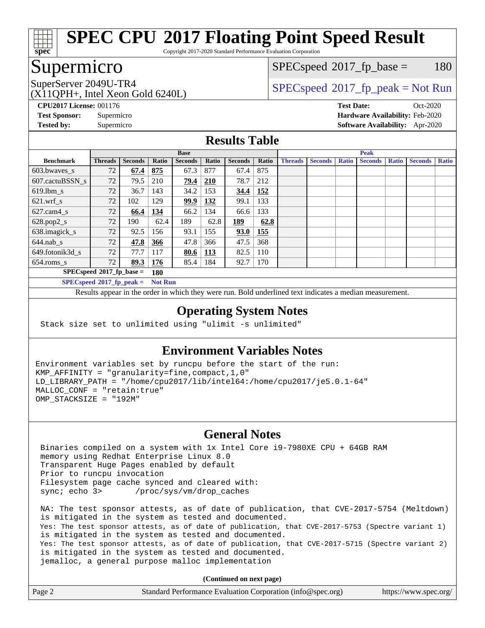

Copyright 2017-2020 Standard Performance Evaluation Corporation

### Supermicro

 $SPECspeed^{\circledcirc}2017_fp\_base = 180$  $SPECspeed^{\circledcirc}2017_fp\_base = 180$ 

(X11QPH+, Intel Xeon Gold 6240L)

SuperServer 2049U-TR4  $SPEC speed^{\circ}2017$ \_fp\_peak = Not Run

**[CPU2017 License:](http://www.spec.org/auto/cpu2017/Docs/result-fields.html#CPU2017License)** 001176 **[Test Date:](http://www.spec.org/auto/cpu2017/Docs/result-fields.html#TestDate)** Oct-2020 **[Test Sponsor:](http://www.spec.org/auto/cpu2017/Docs/result-fields.html#TestSponsor)** Supermicro **[Hardware Availability:](http://www.spec.org/auto/cpu2017/Docs/result-fields.html#HardwareAvailability)** Feb-2020

#### **[Tested by:](http://www.spec.org/auto/cpu2017/Docs/result-fields.html#Testedby)** Supermicro **[Software Availability:](http://www.spec.org/auto/cpu2017/Docs/result-fields.html#SoftwareAvailability)** Apr-2020

|  | <b>Results Table</b> |  |
|--|----------------------|--|
|  |                      |  |

|                             |                             |                |                | <b>Base</b>    |            |                | <b>Peak</b> |                |                |              |                |              |                |              |  |
|-----------------------------|-----------------------------|----------------|----------------|----------------|------------|----------------|-------------|----------------|----------------|--------------|----------------|--------------|----------------|--------------|--|
| <b>Benchmark</b>            | <b>Threads</b>              | <b>Seconds</b> | Ratio          | <b>Seconds</b> | Ratio      | <b>Seconds</b> | Ratio       | <b>Threads</b> | <b>Seconds</b> | <b>Ratio</b> | <b>Seconds</b> | <b>Ratio</b> | <b>Seconds</b> | <b>Ratio</b> |  |
| 603.bwayes s                | 72                          | 67.4           | 875            | 67.3           | 877        | 67.4           | 875         |                |                |              |                |              |                |              |  |
| 607.cactuBSSN s             | 72                          | 79.5           | 210            | 79.4           | 210        | 78.7           | 212         |                |                |              |                |              |                |              |  |
| $619.$ lbm_s                | 72                          | 36.7           | 143            | 34.2           | 153        | 34.4           | 152         |                |                |              |                |              |                |              |  |
| $621.wrf$ s                 | 72                          | 102            | 129            | 99.9           | 132        | 99.1           | 133         |                |                |              |                |              |                |              |  |
| $627$ .cam4 s               | 72                          | 66.4           | 134            | 66.2           | 134        | 66.6           | 133         |                |                |              |                |              |                |              |  |
| $628.pop2_s$                | 72                          | 190            | 62.4           | 189            | 62.8       | 189            | 62.8        |                |                |              |                |              |                |              |  |
| 638.imagick_s               | 72                          | 92.5           | 156            | 93.1           | 155        | 93.0           | 155         |                |                |              |                |              |                |              |  |
| $644$ .nab s                | 72                          | 47.8           | 366            | 47.8           | 366        | 47.5           | 368         |                |                |              |                |              |                |              |  |
| 649.fotonik3d s             | 72                          | 77.7           | 117            | 80.6           | <u>113</u> | 82.5           | 110         |                |                |              |                |              |                |              |  |
| $654$ .roms s               | 72                          | 89.3           | 176            | 85.4           | 184        | 92.7           | 170         |                |                |              |                |              |                |              |  |
| $SPECspeed*2017_fp\_base =$ | 180                         |                |                |                |            |                |             |                |                |              |                |              |                |              |  |
|                             | $SPECspeed^*2017$ fp peak = |                | <b>Not Run</b> |                |            |                |             |                |                |              |                |              |                |              |  |

Results appear in the [order in which they were run.](http://www.spec.org/auto/cpu2017/Docs/result-fields.html#RunOrder) Bold underlined text [indicates a median measurement](http://www.spec.org/auto/cpu2017/Docs/result-fields.html#Median).

#### **[Operating System Notes](http://www.spec.org/auto/cpu2017/Docs/result-fields.html#OperatingSystemNotes)**

Stack size set to unlimited using "ulimit -s unlimited"

#### **[Environment Variables Notes](http://www.spec.org/auto/cpu2017/Docs/result-fields.html#EnvironmentVariablesNotes)**

Environment variables set by runcpu before the start of the run: KMP\_AFFINITY = "granularity=fine,compact,1,0" LD\_LIBRARY\_PATH = "/home/cpu2017/lib/intel64:/home/cpu2017/je5.0.1-64" MALLOC\_CONF = "retain:true" OMP\_STACKSIZE = "192M"

#### **[General Notes](http://www.spec.org/auto/cpu2017/Docs/result-fields.html#GeneralNotes)**

 Binaries compiled on a system with 1x Intel Core i9-7980XE CPU + 64GB RAM memory using Redhat Enterprise Linux 8.0 Transparent Huge Pages enabled by default Prior to runcpu invocation Filesystem page cache synced and cleared with: sync; echo 3> /proc/sys/vm/drop\_caches

 NA: The test sponsor attests, as of date of publication, that CVE-2017-5754 (Meltdown) is mitigated in the system as tested and documented. Yes: The test sponsor attests, as of date of publication, that CVE-2017-5753 (Spectre variant 1) is mitigated in the system as tested and documented. Yes: The test sponsor attests, as of date of publication, that CVE-2017-5715 (Spectre variant 2) is mitigated in the system as tested and documented. jemalloc, a general purpose malloc implementation

**(Continued on next page)**

| Page 2 | Standard Performance Evaluation Corporation (info@spec.org) | https://www.spec.org/ |
|--------|-------------------------------------------------------------|-----------------------|
|--------|-------------------------------------------------------------|-----------------------|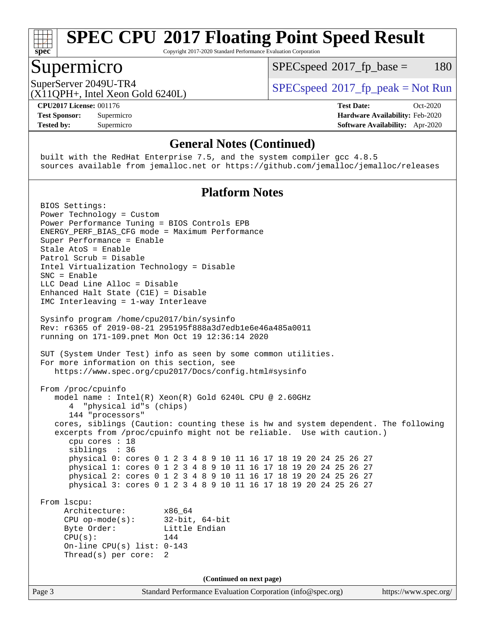

Copyright 2017-2020 Standard Performance Evaluation Corporation

### Supermicro

 $SPECspeed^{\circ}2017\_fp\_base = 180$  $SPECspeed^{\circ}2017\_fp\_base = 180$ 

SuperServer 2049U-TR4  $SPEC speed^{\circ}2017$ \_fp\_peak = Not Run

(X11QPH+, Intel Xeon Gold 6240L)

**[Tested by:](http://www.spec.org/auto/cpu2017/Docs/result-fields.html#Testedby)** Supermicro **[Software Availability:](http://www.spec.org/auto/cpu2017/Docs/result-fields.html#SoftwareAvailability)** Apr-2020

**[CPU2017 License:](http://www.spec.org/auto/cpu2017/Docs/result-fields.html#CPU2017License)** 001176 **[Test Date:](http://www.spec.org/auto/cpu2017/Docs/result-fields.html#TestDate)** Oct-2020 **[Test Sponsor:](http://www.spec.org/auto/cpu2017/Docs/result-fields.html#TestSponsor)** Supermicro **[Hardware Availability:](http://www.spec.org/auto/cpu2017/Docs/result-fields.html#HardwareAvailability)** Feb-2020

#### **[General Notes \(Continued\)](http://www.spec.org/auto/cpu2017/Docs/result-fields.html#GeneralNotes)**

 built with the RedHat Enterprise 7.5, and the system compiler gcc 4.8.5 sources available from jemalloc.net or <https://github.com/jemalloc/jemalloc/releases>

#### **[Platform Notes](http://www.spec.org/auto/cpu2017/Docs/result-fields.html#PlatformNotes)**

Page 3 Standard Performance Evaluation Corporation [\(info@spec.org\)](mailto:info@spec.org) <https://www.spec.org/> BIOS Settings: Power Technology = Custom Power Performance Tuning = BIOS Controls EPB ENERGY\_PERF\_BIAS\_CFG mode = Maximum Performance Super Performance = Enable Stale AtoS = Enable Patrol Scrub = Disable Intel Virtualization Technology = Disable SNC = Enable LLC Dead Line Alloc = Disable Enhanced Halt State (C1E) = Disable IMC Interleaving = 1-way Interleave Sysinfo program /home/cpu2017/bin/sysinfo Rev: r6365 of 2019-08-21 295195f888a3d7edb1e6e46a485a0011 running on 171-109.pnet Mon Oct 19 12:36:14 2020 SUT (System Under Test) info as seen by some common utilities. For more information on this section, see <https://www.spec.org/cpu2017/Docs/config.html#sysinfo> From /proc/cpuinfo model name : Intel(R) Xeon(R) Gold 6240L CPU @ 2.60GHz 4 "physical id"s (chips) 144 "processors" cores, siblings (Caution: counting these is hw and system dependent. The following excerpts from /proc/cpuinfo might not be reliable. Use with caution.) cpu cores : 18 siblings : 36 physical 0: cores 0 1 2 3 4 8 9 10 11 16 17 18 19 20 24 25 26 27 physical 1: cores 0 1 2 3 4 8 9 10 11 16 17 18 19 20 24 25 26 27 physical 2: cores 0 1 2 3 4 8 9 10 11 16 17 18 19 20 24 25 26 27 physical 3: cores 0 1 2 3 4 8 9 10 11 16 17 18 19 20 24 25 26 27 From lscpu: Architecture: x86\_64 CPU op-mode(s): 32-bit, 64-bit Byte Order: Little Endian  $CPU(s):$  144 On-line CPU(s) list: 0-143 Thread(s) per core: 2 **(Continued on next page)**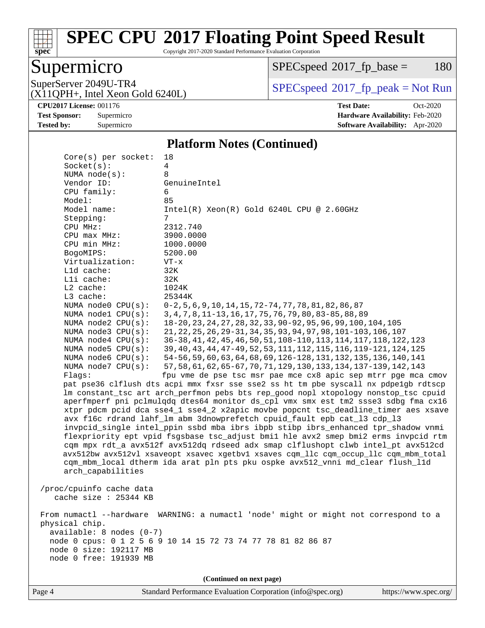# **[spec](http://www.spec.org/)**

## **[SPEC CPU](http://www.spec.org/auto/cpu2017/Docs/result-fields.html#SPECCPU2017FloatingPointSpeedResult)[2017 Floating Point Speed Result](http://www.spec.org/auto/cpu2017/Docs/result-fields.html#SPECCPU2017FloatingPointSpeedResult)**

Copyright 2017-2020 Standard Performance Evaluation Corporation

### Supermicro

 $SPECspeed^{\circledcirc}2017_fp\_base = 180$  $SPECspeed^{\circledcirc}2017_fp\_base = 180$ 

(X11QPH+, Intel Xeon Gold 6240L)

SuperServer 2049U-TR4<br>(X11OPH+ Intel Xeon Gold 6240I) [SPECspeed](http://www.spec.org/auto/cpu2017/Docs/result-fields.html#SPECspeed2017fppeak)<sup>®</sup>[2017\\_fp\\_peak = N](http://www.spec.org/auto/cpu2017/Docs/result-fields.html#SPECspeed2017fppeak)ot Run

**[CPU2017 License:](http://www.spec.org/auto/cpu2017/Docs/result-fields.html#CPU2017License)** 001176 **[Test Date:](http://www.spec.org/auto/cpu2017/Docs/result-fields.html#TestDate)** Oct-2020 **[Test Sponsor:](http://www.spec.org/auto/cpu2017/Docs/result-fields.html#TestSponsor)** Supermicro **[Hardware Availability:](http://www.spec.org/auto/cpu2017/Docs/result-fields.html#HardwareAvailability)** Feb-2020 **[Tested by:](http://www.spec.org/auto/cpu2017/Docs/result-fields.html#Testedby)** Supermicro **[Software Availability:](http://www.spec.org/auto/cpu2017/Docs/result-fields.html#SoftwareAvailability)** Apr-2020

#### **[Platform Notes \(Continued\)](http://www.spec.org/auto/cpu2017/Docs/result-fields.html#PlatformNotes)**

| $Core(s)$ per socket:      | 18                                                                                   |
|----------------------------|--------------------------------------------------------------------------------------|
| Socket(s):                 | 4                                                                                    |
| NUMA $node(s)$ :           | 8                                                                                    |
| Vendor ID:                 | GenuineIntel                                                                         |
| CPU family:                | 6                                                                                    |
| Model:                     | 85                                                                                   |
| Model name:                | $Intel(R) Xeon(R) Gold 6240L CPU @ 2.60GHz$                                          |
| Stepping:                  | 7                                                                                    |
| CPU MHz:                   | 2312.740                                                                             |
| CPU max MHz:               | 3900.0000                                                                            |
| CPU min MHz:               | 1000.0000                                                                            |
| BogoMIPS:                  | 5200.00                                                                              |
| Virtualization:            | $VT - x$                                                                             |
| L1d cache:                 | 32K                                                                                  |
| Lli cache:                 | 32K                                                                                  |
| L2 cache:                  | 1024K                                                                                |
| L3 cache:                  | 25344K                                                                               |
| NUMA node0 CPU(s):         | $0-2, 5, 6, 9, 10, 14, 15, 72-74, 77, 78, 81, 82, 86, 87$                            |
| NUMA nodel CPU(s):         | 3, 4, 7, 8, 11-13, 16, 17, 75, 76, 79, 80, 83-85, 88, 89                             |
| NUMA $node2$ $CPU(s)$ :    | 18-20, 23, 24, 27, 28, 32, 33, 90-92, 95, 96, 99, 100, 104, 105                      |
| NUMA node3 CPU(s):         | 21, 22, 25, 26, 29-31, 34, 35, 93, 94, 97, 98, 101-103, 106, 107                     |
| NUMA $node4$ $CPU(s):$     | 36-38, 41, 42, 45, 46, 50, 51, 108-110, 113, 114, 117, 118, 122, 123                 |
| NUMA node5 $CPU(s):$       | 39, 40, 43, 44, 47-49, 52, 53, 111, 112, 115, 116, 119-121, 124, 125                 |
| NUMA node6 CPU(s):         | 54-56, 59, 60, 63, 64, 68, 69, 126-128, 131, 132, 135, 136, 140, 141                 |
| NUMA node7 CPU(s):         | 57, 58, 61, 62, 65-67, 70, 71, 129, 130, 133, 134, 137-139, 142, 143                 |
| Flaqs:                     | fpu vme de pse tsc msr pae mce cx8 apic sep mtrr pge mca cmov                        |
|                            | pat pse36 clflush dts acpi mmx fxsr sse sse2 ss ht tm pbe syscall nx pdpelgb rdtscp  |
|                            | lm constant_tsc art arch_perfmon pebs bts rep_good nopl xtopology nonstop_tsc cpuid  |
|                            | aperfmperf pni pclmulqdq dtes64 monitor ds_cpl vmx smx est tm2 ssse3 sdbg fma cx16   |
|                            | xtpr pdcm pcid dca sse4_1 sse4_2 x2apic movbe popcnt tsc_deadline_timer aes xsave    |
|                            | avx f16c rdrand lahf_lm abm 3dnowprefetch cpuid_fault epb cat_13 cdp_13              |
|                            | invpcid_single intel_ppin ssbd mba ibrs ibpb stibp ibrs_enhanced tpr_shadow vnmi     |
|                            | flexpriority ept vpid fsgsbase tsc_adjust bmil hle avx2 smep bmi2 erms invpcid rtm   |
|                            | cqm mpx rdt_a avx512f avx512dq rdseed adx smap clflushopt clwb intel_pt avx512cd     |
|                            | avx512bw avx512vl xsaveopt xsavec xgetbvl xsaves cqm_llc cqm_occup_llc cqm_mbm_total |
|                            | cqm_mbm_local dtherm ida arat pln pts pku ospke avx512_vnni md_clear flush_l1d       |
| arch_capabilities          |                                                                                      |
|                            |                                                                                      |
| /proc/cpuinfo cache data   |                                                                                      |
| cache size $: 25344$ KB    |                                                                                      |
|                            |                                                                                      |
| From numactl --hardware    | WARNING: a numactl 'node' might or might not correspond to a                         |
| physical chip.             |                                                                                      |
| $available: 8 nodes (0-7)$ |                                                                                      |
|                            | node 0 cpus: 0 1 2 5 6 9 10 14 15 72 73 74 77 78 81 82 86 87                         |
| node 0 size: 192117 MB     |                                                                                      |
| node 0 free: 191939 MB     |                                                                                      |
|                            |                                                                                      |
|                            | (Continued on next page)                                                             |
|                            |                                                                                      |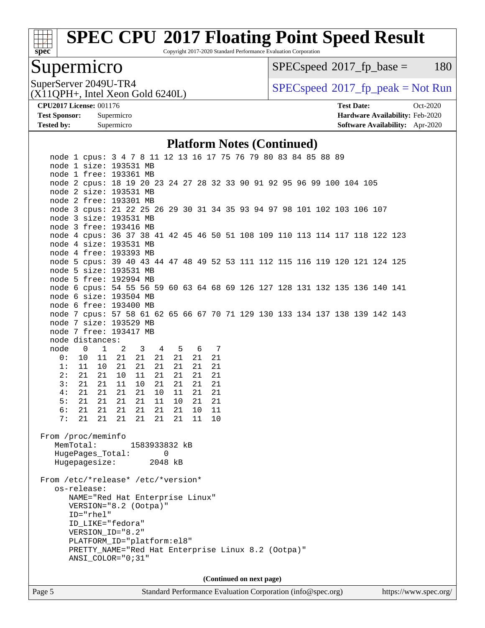

Copyright 2017-2020 Standard Performance Evaluation Corporation

### Supermicro

 $SPECspeed^{\circledcirc}2017_fp\_base = 180$  $SPECspeed^{\circledcirc}2017_fp\_base = 180$ 

SuperServer 2049U-TR4<br>(X11OPH+ Intel Xeon Gold 6240I) [SPECspeed](http://www.spec.org/auto/cpu2017/Docs/result-fields.html#SPECspeed2017fppeak)<sup>®</sup>[2017\\_fp\\_peak = N](http://www.spec.org/auto/cpu2017/Docs/result-fields.html#SPECspeed2017fppeak)ot Run

(X11QPH+, Intel Xeon Gold 6240L)

**[CPU2017 License:](http://www.spec.org/auto/cpu2017/Docs/result-fields.html#CPU2017License)** 001176 **[Test Date:](http://www.spec.org/auto/cpu2017/Docs/result-fields.html#TestDate)** Oct-2020 **[Test Sponsor:](http://www.spec.org/auto/cpu2017/Docs/result-fields.html#TestSponsor)** Supermicro **[Hardware Availability:](http://www.spec.org/auto/cpu2017/Docs/result-fields.html#HardwareAvailability)** Feb-2020 **[Tested by:](http://www.spec.org/auto/cpu2017/Docs/result-fields.html#Testedby)** Supermicro **[Software Availability:](http://www.spec.org/auto/cpu2017/Docs/result-fields.html#SoftwareAvailability)** Apr-2020

#### **[Platform Notes \(Continued\)](http://www.spec.org/auto/cpu2017/Docs/result-fields.html#PlatformNotes)**

| node 1 cpus: 3 4 7 8 11 12 13 16 17 75 76 79 80 83 84 85 88 89              |                                                    |                |                |               |          |               |          |          |  |                          |  |  |  |  |
|-----------------------------------------------------------------------------|----------------------------------------------------|----------------|----------------|---------------|----------|---------------|----------|----------|--|--------------------------|--|--|--|--|
| node 1 size: 193531 MB                                                      |                                                    |                |                |               |          |               |          |          |  |                          |  |  |  |  |
| node 1 free: 193361 MB                                                      |                                                    |                |                |               |          |               |          |          |  |                          |  |  |  |  |
| node 2 cpus: 18 19 20 23 24 27 28 32 33 90 91 92 95 96 99 100 104 105       |                                                    |                |                |               |          |               |          |          |  |                          |  |  |  |  |
| node 2 size: 193531 MB                                                      |                                                    |                |                |               |          |               |          |          |  |                          |  |  |  |  |
| node 2 free: 193301 MB                                                      |                                                    |                |                |               |          |               |          |          |  |                          |  |  |  |  |
| node 3 cpus: 21 22 25 26 29 30 31 34 35 93 94 97 98 101 102 103 106 107     |                                                    |                |                |               |          |               |          |          |  |                          |  |  |  |  |
| node 3 size: 193531 MB                                                      |                                                    |                |                |               |          |               |          |          |  |                          |  |  |  |  |
| node 3 free: 193416 MB                                                      |                                                    |                |                |               |          |               |          |          |  |                          |  |  |  |  |
| node 4 cpus: 36 37 38 41 42 45 46 50 51 108 109 110 113 114 117 118 122 123 |                                                    |                |                |               |          |               |          |          |  |                          |  |  |  |  |
| node 4 size: 193531 MB                                                      |                                                    |                |                |               |          |               |          |          |  |                          |  |  |  |  |
| node 4 free: 193393 MB                                                      |                                                    |                |                |               |          |               |          |          |  |                          |  |  |  |  |
| node 5 cpus: 39 40 43 44 47 48 49 52 53 111 112 115 116 119 120 121 124 125 |                                                    |                |                |               |          |               |          |          |  |                          |  |  |  |  |
| node 5 size: 193531 MB                                                      |                                                    |                |                |               |          |               |          |          |  |                          |  |  |  |  |
| node 5 free: 192994 MB                                                      |                                                    |                |                |               |          |               |          |          |  |                          |  |  |  |  |
| node 6 cpus: 54 55 56 59 60 63 64 68 69 126 127 128 131 132 135 136 140 141 |                                                    |                |                |               |          |               |          |          |  |                          |  |  |  |  |
| node 6 size: 193504 MB                                                      |                                                    |                |                |               |          |               |          |          |  |                          |  |  |  |  |
| node 6 free: 193400 MB                                                      |                                                    |                |                |               |          |               |          |          |  |                          |  |  |  |  |
| node 7 cpus: 57 58 61 62 65 66 67 70 71 129 130 133 134 137 138 139 142 143 |                                                    |                |                |               |          |               |          |          |  |                          |  |  |  |  |
| node 7 size: 193529 MB                                                      |                                                    |                |                |               |          |               |          |          |  |                          |  |  |  |  |
| node 7 free: 193417 MB                                                      |                                                    |                |                |               |          |               |          |          |  |                          |  |  |  |  |
| node distances:                                                             |                                                    |                |                |               |          |               |          |          |  |                          |  |  |  |  |
| node 0                                                                      |                                                    | $\overline{1}$ | $\overline{2}$ | $3 \t 4$      |          |               | 5 6 7    |          |  |                          |  |  |  |  |
| 0:                                                                          | 10                                                 | 11             | 21             | 21            | 21       | 21            | 21       | 21       |  |                          |  |  |  |  |
| 1:                                                                          | 11                                                 | 10             | 21             | 21            | 21       | 21            | 21       | 21       |  |                          |  |  |  |  |
| 2:                                                                          | 21                                                 | 21             | 10             | 11            | 21       | 21            | 21       | 21       |  |                          |  |  |  |  |
| 3:                                                                          | 21                                                 | 21             | 11             | 10            | 21       | 21            | 21       | 21       |  |                          |  |  |  |  |
| 4:                                                                          | 21                                                 | 21             | 21             | 21            | 10       | 11            | 21       | 21       |  |                          |  |  |  |  |
| 5:<br>6:                                                                    | 21<br>21                                           | 21<br>21       | 21<br>21       | 21<br>21      | 11<br>21 | $10 \,$<br>21 | 21<br>10 | 21<br>11 |  |                          |  |  |  |  |
| 7:                                                                          | 21                                                 | 21             | 21             | 21            | 21       | 21            | 11       | 10       |  |                          |  |  |  |  |
|                                                                             |                                                    |                |                |               |          |               |          |          |  |                          |  |  |  |  |
| From /proc/meminfo                                                          |                                                    |                |                |               |          |               |          |          |  |                          |  |  |  |  |
|                                                                             | MemTotal:                                          |                |                | 1583933832 kB |          |               |          |          |  |                          |  |  |  |  |
|                                                                             | HugePages_Total:                                   |                |                |               | 0        |               |          |          |  |                          |  |  |  |  |
|                                                                             | Hugepagesize:                                      |                |                |               | 2048 kB  |               |          |          |  |                          |  |  |  |  |
|                                                                             |                                                    |                |                |               |          |               |          |          |  |                          |  |  |  |  |
| From /etc/*release* /etc/*version*                                          |                                                    |                |                |               |          |               |          |          |  |                          |  |  |  |  |
|                                                                             | os-release:                                        |                |                |               |          |               |          |          |  |                          |  |  |  |  |
|                                                                             | NAME="Red Hat Enterprise Linux"                    |                |                |               |          |               |          |          |  |                          |  |  |  |  |
|                                                                             | VERSION="8.2 (Ootpa)"                              |                |                |               |          |               |          |          |  |                          |  |  |  |  |
|                                                                             | ID="rhel"                                          |                |                |               |          |               |          |          |  |                          |  |  |  |  |
|                                                                             | ID_LIKE="fedora"                                   |                |                |               |          |               |          |          |  |                          |  |  |  |  |
|                                                                             | VERSION_ID="8.2"                                   |                |                |               |          |               |          |          |  |                          |  |  |  |  |
|                                                                             | PLATFORM_ID="platform:el8"                         |                |                |               |          |               |          |          |  |                          |  |  |  |  |
|                                                                             | PRETTY_NAME="Red Hat Enterprise Linux 8.2 (Ootpa)" |                |                |               |          |               |          |          |  |                          |  |  |  |  |
|                                                                             | ANSI_COLOR="0;31"                                  |                |                |               |          |               |          |          |  |                          |  |  |  |  |
|                                                                             |                                                    |                |                |               |          |               |          |          |  |                          |  |  |  |  |
|                                                                             |                                                    |                |                |               |          |               |          |          |  | (Continued on next page) |  |  |  |  |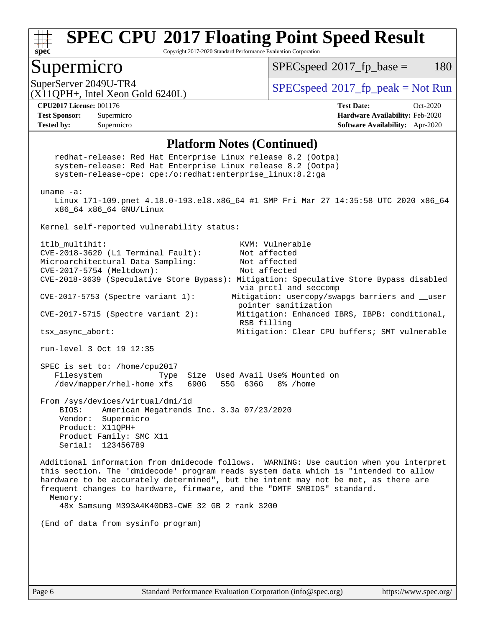

Copyright 2017-2020 Standard Performance Evaluation Corporation

### Supermicro

 $SPECspeed^{\circledcirc}2017_fp\_base = 180$  $SPECspeed^{\circledcirc}2017_fp\_base = 180$ 

SuperServer 2049U-TR4  $SPEC speed^{\circ}2017$ \_fp\_peak = Not Run

(X11QPH+, Intel Xeon Gold 6240L)

**[Tested by:](http://www.spec.org/auto/cpu2017/Docs/result-fields.html#Testedby)** Supermicro **[Software Availability:](http://www.spec.org/auto/cpu2017/Docs/result-fields.html#SoftwareAvailability)** Apr-2020

**[CPU2017 License:](http://www.spec.org/auto/cpu2017/Docs/result-fields.html#CPU2017License)** 001176 **[Test Date:](http://www.spec.org/auto/cpu2017/Docs/result-fields.html#TestDate)** Oct-2020 **[Test Sponsor:](http://www.spec.org/auto/cpu2017/Docs/result-fields.html#TestSponsor)** Supermicro **[Hardware Availability:](http://www.spec.org/auto/cpu2017/Docs/result-fields.html#HardwareAvailability)** Feb-2020

#### **[Platform Notes \(Continued\)](http://www.spec.org/auto/cpu2017/Docs/result-fields.html#PlatformNotes)**

 redhat-release: Red Hat Enterprise Linux release 8.2 (Ootpa) system-release: Red Hat Enterprise Linux release 8.2 (Ootpa) system-release-cpe: cpe:/o:redhat:enterprise\_linux:8.2:ga uname -a: Linux 171-109.pnet 4.18.0-193.el8.x86\_64 #1 SMP Fri Mar 27 14:35:58 UTC 2020 x86\_64 x86\_64 x86\_64 GNU/Linux Kernel self-reported vulnerability status: itlb multihit: KVM: Vulnerable CVE-2018-3620 (L1 Terminal Fault): Not affected Microarchitectural Data Sampling: Not affected CVE-2017-5754 (Meltdown): Not affected CVE-2018-3639 (Speculative Store Bypass): Mitigation: Speculative Store Bypass disabled via prctl and seccomp CVE-2017-5753 (Spectre variant 1): Mitigation: usercopy/swapgs barriers and \_\_user pointer sanitization CVE-2017-5715 (Spectre variant 2): Mitigation: Enhanced IBRS, IBPB: conditional, RSB filling tsx\_async\_abort: Mitigation: Clear CPU buffers; SMT vulnerable run-level 3 Oct 19 12:35 SPEC is set to: /home/cpu2017 Filesystem Type Size Used Avail Use% Mounted on /dev/mapper/rhel-home xfs 690G 55G 636G 8% /home From /sys/devices/virtual/dmi/id BIOS: American Megatrends Inc. 3.3a 07/23/2020 Vendor: Supermicro Product: X11QPH+ Product Family: SMC X11 Serial: 123456789 Additional information from dmidecode follows. WARNING: Use caution when you interpret this section. The 'dmidecode' program reads system data which is "intended to allow hardware to be accurately determined", but the intent may not be met, as there are frequent changes to hardware, firmware, and the "DMTF SMBIOS" standard. Memory: 48x Samsung M393A4K40DB3-CWE 32 GB 2 rank 3200 (End of data from sysinfo program)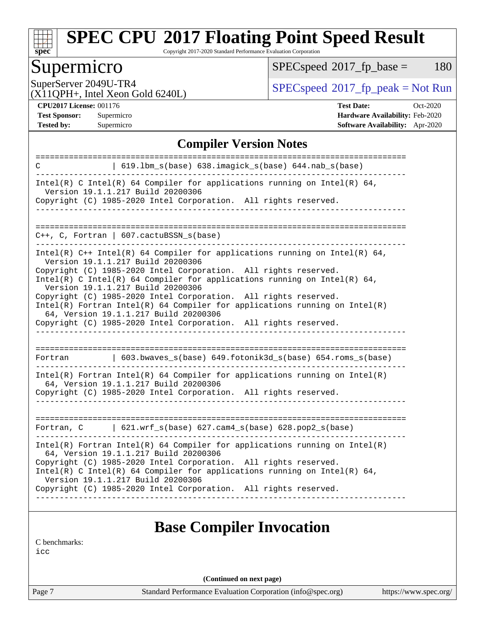

Copyright 2017-2020 Standard Performance Evaluation Corporation

### Supermicro

 $SPECspeed^{\circledcirc}2017_fp\_base = 180$  $SPECspeed^{\circledcirc}2017_fp\_base = 180$ 

SuperServer 2049U-TR4<br>(X11OPH+ Intel Xeon Gold 6240I) [SPECspeed](http://www.spec.org/auto/cpu2017/Docs/result-fields.html#SPECspeed2017fppeak)<sup>®</sup>[2017\\_fp\\_peak = N](http://www.spec.org/auto/cpu2017/Docs/result-fields.html#SPECspeed2017fppeak)ot Run

(X11QPH+, Intel Xeon Gold 6240L)

**[Tested by:](http://www.spec.org/auto/cpu2017/Docs/result-fields.html#Testedby)** Supermicro **[Software Availability:](http://www.spec.org/auto/cpu2017/Docs/result-fields.html#SoftwareAvailability)** Apr-2020

**[CPU2017 License:](http://www.spec.org/auto/cpu2017/Docs/result-fields.html#CPU2017License)** 001176 **[Test Date:](http://www.spec.org/auto/cpu2017/Docs/result-fields.html#TestDate)** Oct-2020 **[Test Sponsor:](http://www.spec.org/auto/cpu2017/Docs/result-fields.html#TestSponsor)** Supermicro **[Hardware Availability:](http://www.spec.org/auto/cpu2017/Docs/result-fields.html#HardwareAvailability)** Feb-2020

#### **[Compiler Version Notes](http://www.spec.org/auto/cpu2017/Docs/result-fields.html#CompilerVersionNotes)**

| 619.1bm_s(base) 638.imagick_s(base) 644.nab_s(base)<br>C                                                                                                                                                                                                                                                                                                                                                                                                                                                                                                                                            |
|-----------------------------------------------------------------------------------------------------------------------------------------------------------------------------------------------------------------------------------------------------------------------------------------------------------------------------------------------------------------------------------------------------------------------------------------------------------------------------------------------------------------------------------------------------------------------------------------------------|
| Intel(R) C Intel(R) 64 Compiler for applications running on Intel(R) 64,<br>Version 19.1.1.217 Build 20200306<br>Copyright (C) 1985-2020 Intel Corporation. All rights reserved.<br>___________________________                                                                                                                                                                                                                                                                                                                                                                                     |
|                                                                                                                                                                                                                                                                                                                                                                                                                                                                                                                                                                                                     |
| $C++$ , C, Fortran   607.cactuBSSN_s(base)                                                                                                                                                                                                                                                                                                                                                                                                                                                                                                                                                          |
| Intel(R) $C++$ Intel(R) 64 Compiler for applications running on Intel(R) 64,<br>Version 19.1.1.217 Build 20200306<br>Copyright (C) 1985-2020 Intel Corporation. All rights reserved.<br>Intel(R) C Intel(R) 64 Compiler for applications running on Intel(R) 64,<br>Version 19.1.1.217 Build 20200306<br>Copyright (C) 1985-2020 Intel Corporation. All rights reserved.<br>Intel(R) Fortran Intel(R) 64 Compiler for applications running on $Intel(R)$<br>64, Version 19.1.1.217 Build 20200306<br>Copyright (C) 1985-2020 Intel Corporation. All rights reserved.<br>___________________________ |
|                                                                                                                                                                                                                                                                                                                                                                                                                                                                                                                                                                                                     |
| 603.bwaves_s(base) 649.fotonik3d_s(base) 654.roms_s(base)<br>Fortran                                                                                                                                                                                                                                                                                                                                                                                                                                                                                                                                |
| $Intel(R)$ Fortran Intel(R) 64 Compiler for applications running on Intel(R)<br>64, Version 19.1.1.217 Build 20200306<br>Copyright (C) 1985-2020 Intel Corporation. All rights reserved.                                                                                                                                                                                                                                                                                                                                                                                                            |
|                                                                                                                                                                                                                                                                                                                                                                                                                                                                                                                                                                                                     |
| Fortran, C   621.wrf_s(base) 627.cam4_s(base) 628.pop2_s(base)                                                                                                                                                                                                                                                                                                                                                                                                                                                                                                                                      |
| $Intel(R)$ Fortran Intel(R) 64 Compiler for applications running on Intel(R)<br>64, Version 19.1.1.217 Build 20200306<br>Copyright (C) 1985-2020 Intel Corporation. All rights reserved.<br>Intel(R) C Intel(R) 64 Compiler for applications running on Intel(R) 64,<br>Version 19.1.1.217 Build 20200306<br>Copyright (C) 1985-2020 Intel Corporation. All rights reserved.                                                                                                                                                                                                                        |
|                                                                                                                                                                                                                                                                                                                                                                                                                                                                                                                                                                                                     |
|                                                                                                                                                                                                                                                                                                                                                                                                                                                                                                                                                                                                     |
| <b>Base Compiler Invocation</b>                                                                                                                                                                                                                                                                                                                                                                                                                                                                                                                                                                     |

[C benchmarks](http://www.spec.org/auto/cpu2017/Docs/result-fields.html#Cbenchmarks):

[icc](http://www.spec.org/cpu2017/results/res2020q4/cpu2017-20201021-24232.flags.html#user_CCbase_intel_icc_66fc1ee009f7361af1fbd72ca7dcefbb700085f36577c54f309893dd4ec40d12360134090235512931783d35fd58c0460139e722d5067c5574d8eaf2b3e37e92)

**(Continued on next page)**

Page 7 Standard Performance Evaluation Corporation [\(info@spec.org\)](mailto:info@spec.org) <https://www.spec.org/>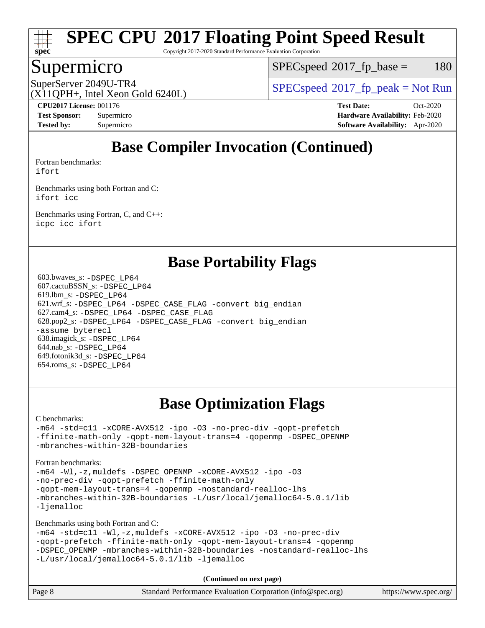

Copyright 2017-2020 Standard Performance Evaluation Corporation

### Supermicro

 $SPEC speed^{\circ}2017\_fp\_base = 180$ 

(X11QPH+, Intel Xeon Gold 6240L)

SuperServer 2049U-TR4  $SPEC speed^{\circ}2017$ \_fp\_peak = Not Run

**[CPU2017 License:](http://www.spec.org/auto/cpu2017/Docs/result-fields.html#CPU2017License)** 001176 **[Test Date:](http://www.spec.org/auto/cpu2017/Docs/result-fields.html#TestDate)** Oct-2020 **[Test Sponsor:](http://www.spec.org/auto/cpu2017/Docs/result-fields.html#TestSponsor)** Supermicro **[Hardware Availability:](http://www.spec.org/auto/cpu2017/Docs/result-fields.html#HardwareAvailability)** Feb-2020 **[Tested by:](http://www.spec.org/auto/cpu2017/Docs/result-fields.html#Testedby)** Supermicro **[Software Availability:](http://www.spec.org/auto/cpu2017/Docs/result-fields.html#SoftwareAvailability)** Apr-2020

## **[Base Compiler Invocation \(Continued\)](http://www.spec.org/auto/cpu2017/Docs/result-fields.html#BaseCompilerInvocation)**

[Fortran benchmarks](http://www.spec.org/auto/cpu2017/Docs/result-fields.html#Fortranbenchmarks): [ifort](http://www.spec.org/cpu2017/results/res2020q4/cpu2017-20201021-24232.flags.html#user_FCbase_intel_ifort_8111460550e3ca792625aed983ce982f94888b8b503583aa7ba2b8303487b4d8a21a13e7191a45c5fd58ff318f48f9492884d4413fa793fd88dd292cad7027ca)

[Benchmarks using both Fortran and C](http://www.spec.org/auto/cpu2017/Docs/result-fields.html#BenchmarksusingbothFortranandC): [ifort](http://www.spec.org/cpu2017/results/res2020q4/cpu2017-20201021-24232.flags.html#user_CC_FCbase_intel_ifort_8111460550e3ca792625aed983ce982f94888b8b503583aa7ba2b8303487b4d8a21a13e7191a45c5fd58ff318f48f9492884d4413fa793fd88dd292cad7027ca) [icc](http://www.spec.org/cpu2017/results/res2020q4/cpu2017-20201021-24232.flags.html#user_CC_FCbase_intel_icc_66fc1ee009f7361af1fbd72ca7dcefbb700085f36577c54f309893dd4ec40d12360134090235512931783d35fd58c0460139e722d5067c5574d8eaf2b3e37e92)

[Benchmarks using Fortran, C, and C++:](http://www.spec.org/auto/cpu2017/Docs/result-fields.html#BenchmarksusingFortranCandCXX) [icpc](http://www.spec.org/cpu2017/results/res2020q4/cpu2017-20201021-24232.flags.html#user_CC_CXX_FCbase_intel_icpc_c510b6838c7f56d33e37e94d029a35b4a7bccf4766a728ee175e80a419847e808290a9b78be685c44ab727ea267ec2f070ec5dc83b407c0218cded6866a35d07) [icc](http://www.spec.org/cpu2017/results/res2020q4/cpu2017-20201021-24232.flags.html#user_CC_CXX_FCbase_intel_icc_66fc1ee009f7361af1fbd72ca7dcefbb700085f36577c54f309893dd4ec40d12360134090235512931783d35fd58c0460139e722d5067c5574d8eaf2b3e37e92) [ifort](http://www.spec.org/cpu2017/results/res2020q4/cpu2017-20201021-24232.flags.html#user_CC_CXX_FCbase_intel_ifort_8111460550e3ca792625aed983ce982f94888b8b503583aa7ba2b8303487b4d8a21a13e7191a45c5fd58ff318f48f9492884d4413fa793fd88dd292cad7027ca)

### **[Base Portability Flags](http://www.spec.org/auto/cpu2017/Docs/result-fields.html#BasePortabilityFlags)**

 603.bwaves\_s: [-DSPEC\\_LP64](http://www.spec.org/cpu2017/results/res2020q4/cpu2017-20201021-24232.flags.html#suite_basePORTABILITY603_bwaves_s_DSPEC_LP64) 607.cactuBSSN\_s: [-DSPEC\\_LP64](http://www.spec.org/cpu2017/results/res2020q4/cpu2017-20201021-24232.flags.html#suite_basePORTABILITY607_cactuBSSN_s_DSPEC_LP64) 619.lbm\_s: [-DSPEC\\_LP64](http://www.spec.org/cpu2017/results/res2020q4/cpu2017-20201021-24232.flags.html#suite_basePORTABILITY619_lbm_s_DSPEC_LP64) 621.wrf\_s: [-DSPEC\\_LP64](http://www.spec.org/cpu2017/results/res2020q4/cpu2017-20201021-24232.flags.html#suite_basePORTABILITY621_wrf_s_DSPEC_LP64) [-DSPEC\\_CASE\\_FLAG](http://www.spec.org/cpu2017/results/res2020q4/cpu2017-20201021-24232.flags.html#b621.wrf_s_baseCPORTABILITY_DSPEC_CASE_FLAG) [-convert big\\_endian](http://www.spec.org/cpu2017/results/res2020q4/cpu2017-20201021-24232.flags.html#user_baseFPORTABILITY621_wrf_s_convert_big_endian_c3194028bc08c63ac5d04de18c48ce6d347e4e562e8892b8bdbdc0214820426deb8554edfa529a3fb25a586e65a3d812c835984020483e7e73212c4d31a38223) 627.cam4\_s: [-DSPEC\\_LP64](http://www.spec.org/cpu2017/results/res2020q4/cpu2017-20201021-24232.flags.html#suite_basePORTABILITY627_cam4_s_DSPEC_LP64) [-DSPEC\\_CASE\\_FLAG](http://www.spec.org/cpu2017/results/res2020q4/cpu2017-20201021-24232.flags.html#b627.cam4_s_baseCPORTABILITY_DSPEC_CASE_FLAG) 628.pop2\_s: [-DSPEC\\_LP64](http://www.spec.org/cpu2017/results/res2020q4/cpu2017-20201021-24232.flags.html#suite_basePORTABILITY628_pop2_s_DSPEC_LP64) [-DSPEC\\_CASE\\_FLAG](http://www.spec.org/cpu2017/results/res2020q4/cpu2017-20201021-24232.flags.html#b628.pop2_s_baseCPORTABILITY_DSPEC_CASE_FLAG) [-convert big\\_endian](http://www.spec.org/cpu2017/results/res2020q4/cpu2017-20201021-24232.flags.html#user_baseFPORTABILITY628_pop2_s_convert_big_endian_c3194028bc08c63ac5d04de18c48ce6d347e4e562e8892b8bdbdc0214820426deb8554edfa529a3fb25a586e65a3d812c835984020483e7e73212c4d31a38223) [-assume byterecl](http://www.spec.org/cpu2017/results/res2020q4/cpu2017-20201021-24232.flags.html#user_baseFPORTABILITY628_pop2_s_assume_byterecl_7e47d18b9513cf18525430bbf0f2177aa9bf368bc7a059c09b2c06a34b53bd3447c950d3f8d6c70e3faf3a05c8557d66a5798b567902e8849adc142926523472) 638.imagick\_s: [-DSPEC\\_LP64](http://www.spec.org/cpu2017/results/res2020q4/cpu2017-20201021-24232.flags.html#suite_basePORTABILITY638_imagick_s_DSPEC_LP64) 644.nab\_s: [-DSPEC\\_LP64](http://www.spec.org/cpu2017/results/res2020q4/cpu2017-20201021-24232.flags.html#suite_basePORTABILITY644_nab_s_DSPEC_LP64) 649.fotonik3d\_s: [-DSPEC\\_LP64](http://www.spec.org/cpu2017/results/res2020q4/cpu2017-20201021-24232.flags.html#suite_basePORTABILITY649_fotonik3d_s_DSPEC_LP64) 654.roms\_s: [-DSPEC\\_LP64](http://www.spec.org/cpu2017/results/res2020q4/cpu2017-20201021-24232.flags.html#suite_basePORTABILITY654_roms_s_DSPEC_LP64)

## **[Base Optimization Flags](http://www.spec.org/auto/cpu2017/Docs/result-fields.html#BaseOptimizationFlags)**

#### [C benchmarks](http://www.spec.org/auto/cpu2017/Docs/result-fields.html#Cbenchmarks):

[-m64](http://www.spec.org/cpu2017/results/res2020q4/cpu2017-20201021-24232.flags.html#user_CCbase_m64-icc) [-std=c11](http://www.spec.org/cpu2017/results/res2020q4/cpu2017-20201021-24232.flags.html#user_CCbase_std-icc-std_0e1c27790398a4642dfca32ffe6c27b5796f9c2d2676156f2e42c9c44eaad0c049b1cdb667a270c34d979996257aeb8fc440bfb01818dbc9357bd9d174cb8524) [-xCORE-AVX512](http://www.spec.org/cpu2017/results/res2020q4/cpu2017-20201021-24232.flags.html#user_CCbase_f-xCORE-AVX512) [-ipo](http://www.spec.org/cpu2017/results/res2020q4/cpu2017-20201021-24232.flags.html#user_CCbase_f-ipo) [-O3](http://www.spec.org/cpu2017/results/res2020q4/cpu2017-20201021-24232.flags.html#user_CCbase_f-O3) [-no-prec-div](http://www.spec.org/cpu2017/results/res2020q4/cpu2017-20201021-24232.flags.html#user_CCbase_f-no-prec-div) [-qopt-prefetch](http://www.spec.org/cpu2017/results/res2020q4/cpu2017-20201021-24232.flags.html#user_CCbase_f-qopt-prefetch) [-ffinite-math-only](http://www.spec.org/cpu2017/results/res2020q4/cpu2017-20201021-24232.flags.html#user_CCbase_f_finite_math_only_cb91587bd2077682c4b38af759c288ed7c732db004271a9512da14a4f8007909a5f1427ecbf1a0fb78ff2a814402c6114ac565ca162485bbcae155b5e4258871) [-qopt-mem-layout-trans=4](http://www.spec.org/cpu2017/results/res2020q4/cpu2017-20201021-24232.flags.html#user_CCbase_f-qopt-mem-layout-trans_fa39e755916c150a61361b7846f310bcdf6f04e385ef281cadf3647acec3f0ae266d1a1d22d972a7087a248fd4e6ca390a3634700869573d231a252c784941a8) [-qopenmp](http://www.spec.org/cpu2017/results/res2020q4/cpu2017-20201021-24232.flags.html#user_CCbase_qopenmp_16be0c44f24f464004c6784a7acb94aca937f053568ce72f94b139a11c7c168634a55f6653758ddd83bcf7b8463e8028bb0b48b77bcddc6b78d5d95bb1df2967) [-DSPEC\\_OPENMP](http://www.spec.org/cpu2017/results/res2020q4/cpu2017-20201021-24232.flags.html#suite_CCbase_DSPEC_OPENMP) [-mbranches-within-32B-boundaries](http://www.spec.org/cpu2017/results/res2020q4/cpu2017-20201021-24232.flags.html#user_CCbase_f-mbranches-within-32B-boundaries)

#### [Fortran benchmarks](http://www.spec.org/auto/cpu2017/Docs/result-fields.html#Fortranbenchmarks):

```
-m64 -Wl,-z,muldefs -DSPEC_OPENMP -xCORE-AVX512 -ipo -O3
-no-prec-div -qopt-prefetch -ffinite-math-only
-qopt-mem-layout-trans=4 -qopenmp -nostandard-realloc-lhs
-mbranches-within-32B-boundaries -L/usr/local/jemalloc64-5.0.1/lib
-ljemalloc
```
[Benchmarks using both Fortran and C](http://www.spec.org/auto/cpu2017/Docs/result-fields.html#BenchmarksusingbothFortranandC):

```
-m64 -std=c11 -Wl,-z,muldefs -xCORE-AVX512 -ipo -O3 -no-prec-div
-qopt-prefetch -ffinite-math-only -qopt-mem-layout-trans=4 -qopenmp
-DSPEC_OPENMP -mbranches-within-32B-boundaries -nostandard-realloc-lhs
-L/usr/local/jemalloc64-5.0.1/lib -ljemalloc
```
**(Continued on next page)**

| Page 8 | Standard Performance Evaluation Corporation (info@spec.org) | https://www.spec.org/ |
|--------|-------------------------------------------------------------|-----------------------|
|--------|-------------------------------------------------------------|-----------------------|